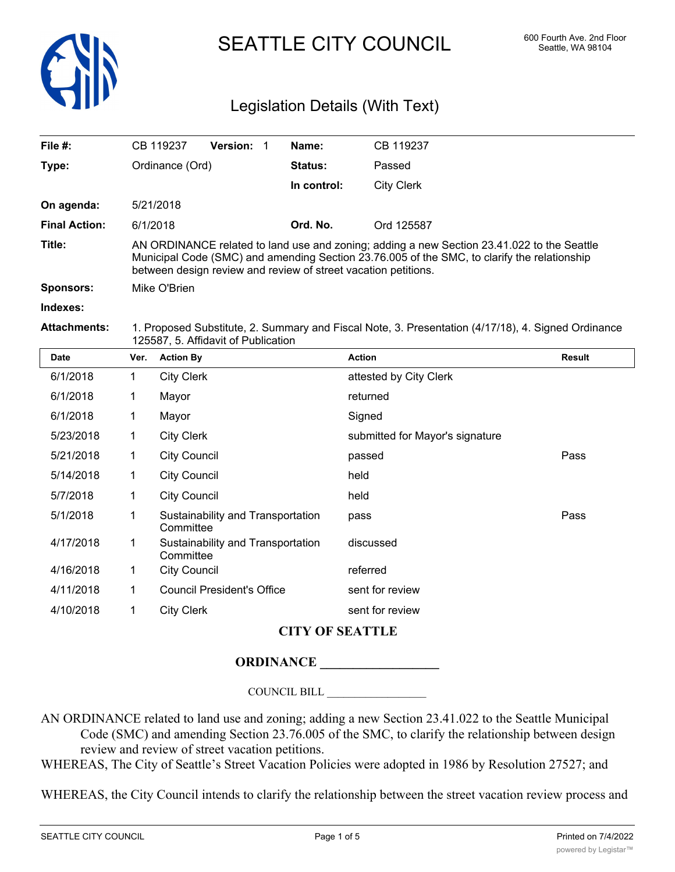

# SEATTLE CITY COUNCIL 600 Fourth Ave. 2nd Floor

## Legislation Details (With Text)

| File $#$ :           |                                                                                                                                                                                                                                                             | CB 119237                                      | Version: 1 |  | Name:       | CB 119237                       |               |  |  |
|----------------------|-------------------------------------------------------------------------------------------------------------------------------------------------------------------------------------------------------------------------------------------------------------|------------------------------------------------|------------|--|-------------|---------------------------------|---------------|--|--|
| Type:                |                                                                                                                                                                                                                                                             | Ordinance (Ord)                                |            |  | Status:     | Passed                          |               |  |  |
|                      |                                                                                                                                                                                                                                                             |                                                |            |  | In control: | <b>City Clerk</b>               |               |  |  |
| On agenda:           |                                                                                                                                                                                                                                                             | 5/21/2018                                      |            |  |             |                                 |               |  |  |
| <b>Final Action:</b> | 6/1/2018                                                                                                                                                                                                                                                    |                                                |            |  | Ord. No.    | Ord 125587                      |               |  |  |
| Title:               | AN ORDINANCE related to land use and zoning; adding a new Section 23.41.022 to the Seattle<br>Municipal Code (SMC) and amending Section 23.76.005 of the SMC, to clarify the relationship<br>between design review and review of street vacation petitions. |                                                |            |  |             |                                 |               |  |  |
| <b>Sponsors:</b>     | Mike O'Brien                                                                                                                                                                                                                                                |                                                |            |  |             |                                 |               |  |  |
| Indexes:             |                                                                                                                                                                                                                                                             |                                                |            |  |             |                                 |               |  |  |
| <b>Attachments:</b>  | 1. Proposed Substitute, 2. Summary and Fiscal Note, 3. Presentation (4/17/18), 4. Signed Ordinance<br>125587, 5. Affidavit of Publication                                                                                                                   |                                                |            |  |             |                                 |               |  |  |
| <b>Date</b>          | Ver.                                                                                                                                                                                                                                                        | <b>Action By</b>                               |            |  |             | <b>Action</b>                   | <b>Result</b> |  |  |
| 6/1/2018             | 1.                                                                                                                                                                                                                                                          | <b>City Clerk</b>                              |            |  |             | attested by City Clerk          |               |  |  |
| 6/1/2018             | 1                                                                                                                                                                                                                                                           | Mayor                                          |            |  |             | returned                        |               |  |  |
| 6/1/2018             | 1                                                                                                                                                                                                                                                           | Mayor                                          |            |  |             | Signed                          |               |  |  |
| 5/23/2018            | 1                                                                                                                                                                                                                                                           | <b>City Clerk</b>                              |            |  |             | submitted for Mayor's signature |               |  |  |
| 5/21/2018            | 1                                                                                                                                                                                                                                                           | <b>City Council</b>                            |            |  | passed      | Pass                            |               |  |  |
| 5/14/2018            | 1.                                                                                                                                                                                                                                                          | <b>City Council</b>                            |            |  |             | held                            |               |  |  |
| 5/7/2018             | 1                                                                                                                                                                                                                                                           | <b>City Council</b>                            |            |  |             | held                            |               |  |  |
| 5/1/2018             | 1                                                                                                                                                                                                                                                           | Sustainability and Transportation<br>Committee |            |  |             | pass                            | Pass          |  |  |

4/11/2018 1 Council President's Office sent for review 4/10/2018 1 City Clerk sent for review **CITY OF SEATTLE**

### **ORDINANCE \_\_\_\_\_\_\_\_\_\_\_\_\_\_\_\_\_\_**

Sustainability and Transportation discussed

**Committee** 

4/16/2018 1 City Council referred

COUNCIL BILL \_\_\_\_\_\_\_\_\_\_\_\_\_\_\_\_\_\_

AN ORDINANCE related to land use and zoning; adding a new Section 23.41.022 to the Seattle Municipal Code (SMC) and amending Section 23.76.005 of the SMC, to clarify the relationship between design review and review of street vacation petitions.

WHEREAS, The City of Seattle's Street Vacation Policies were adopted in 1986 by Resolution 27527; and

WHEREAS, the City Council intends to clarify the relationship between the street vacation review process and

4/17/2018 1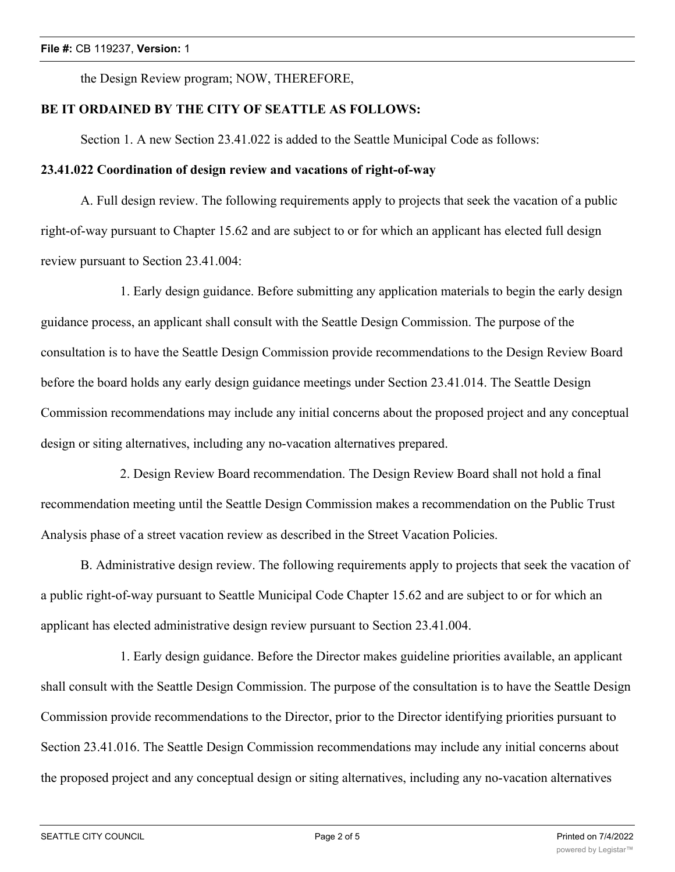the Design Review program; NOW, THEREFORE,

#### **BE IT ORDAINED BY THE CITY OF SEATTLE AS FOLLOWS:**

Section 1. A new Section 23.41.022 is added to the Seattle Municipal Code as follows:

#### **23.41.022 Coordination of design review and vacations of right-of-way**

A. Full design review. The following requirements apply to projects that seek the vacation of a public right-of-way pursuant to Chapter 15.62 and are subject to or for which an applicant has elected full design review pursuant to Section 23.41.004:

1. Early design guidance. Before submitting any application materials to begin the early design guidance process, an applicant shall consult with the Seattle Design Commission. The purpose of the consultation is to have the Seattle Design Commission provide recommendations to the Design Review Board before the board holds any early design guidance meetings under Section 23.41.014. The Seattle Design Commission recommendations may include any initial concerns about the proposed project and any conceptual design or siting alternatives, including any no-vacation alternatives prepared.

2. Design Review Board recommendation. The Design Review Board shall not hold a final recommendation meeting until the Seattle Design Commission makes a recommendation on the Public Trust Analysis phase of a street vacation review as described in the Street Vacation Policies.

B. Administrative design review. The following requirements apply to projects that seek the vacation of a public right-of-way pursuant to Seattle Municipal Code Chapter 15.62 and are subject to or for which an applicant has elected administrative design review pursuant to Section 23.41.004.

1. Early design guidance. Before the Director makes guideline priorities available, an applicant shall consult with the Seattle Design Commission. The purpose of the consultation is to have the Seattle Design Commission provide recommendations to the Director, prior to the Director identifying priorities pursuant to Section 23.41.016. The Seattle Design Commission recommendations may include any initial concerns about the proposed project and any conceptual design or siting alternatives, including any no-vacation alternatives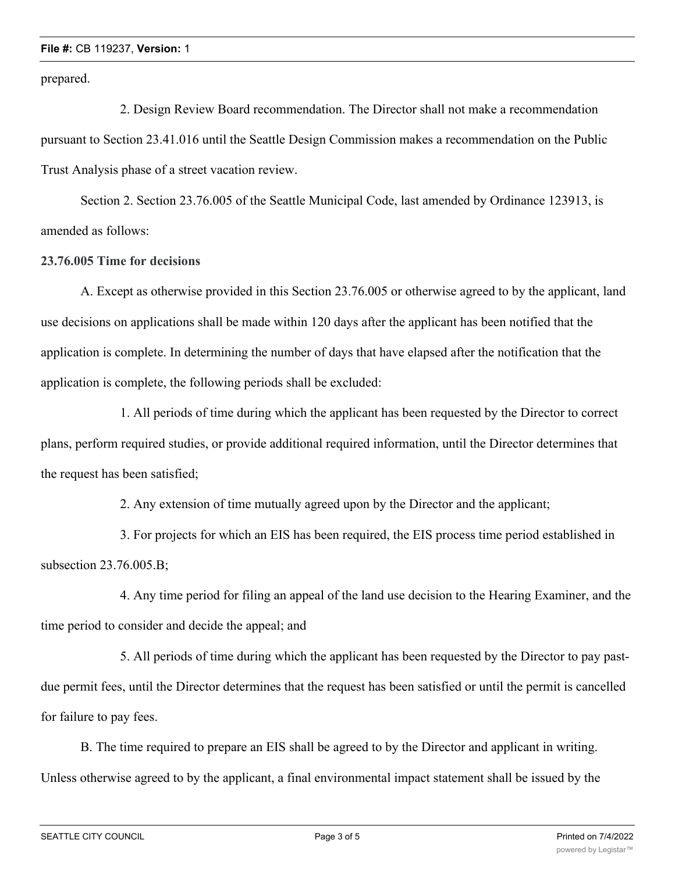#### **File #:** CB 119237, **Version:** 1

prepared.

2. Design Review Board recommendation. The Director shall not make a recommendation pursuant to Section 23.41.016 until the Seattle Design Commission makes a recommendation on the Public Trust Analysis phase of a street vacation review.

Section 2. Section 23.76.005 of the Seattle Municipal Code, last amended by Ordinance 123913, is amended as follows:

#### **23.76.005 Time for decisions**

A. Except as otherwise provided in this Section 23.76.005 or otherwise agreed to by the applicant, land use decisions on applications shall be made within 120 days after the applicant has been notified that the application is complete. In determining the number of days that have elapsed after the notification that the application is complete, the following periods shall be excluded:

1. All periods of time during which the applicant has been requested by the Director to correct plans, perform required studies, or provide additional required information, until the Director determines that the request has been satisfied;

2. Any extension of time mutually agreed upon by the Director and the applicant;

3. For projects for which an EIS has been required, the EIS process time period established in subsection 23.76.005.B;

4. Any time period for filing an appeal of the land use decision to the Hearing Examiner, and the time period to consider and decide the appeal; and

5. All periods of time during which the applicant has been requested by the Director to pay pastdue permit fees, until the Director determines that the request has been satisfied or until the permit is cancelled for failure to pay fees.

B. The time required to prepare an EIS shall be agreed to by the Director and applicant in writing. Unless otherwise agreed to by the applicant, a final environmental impact statement shall be issued by the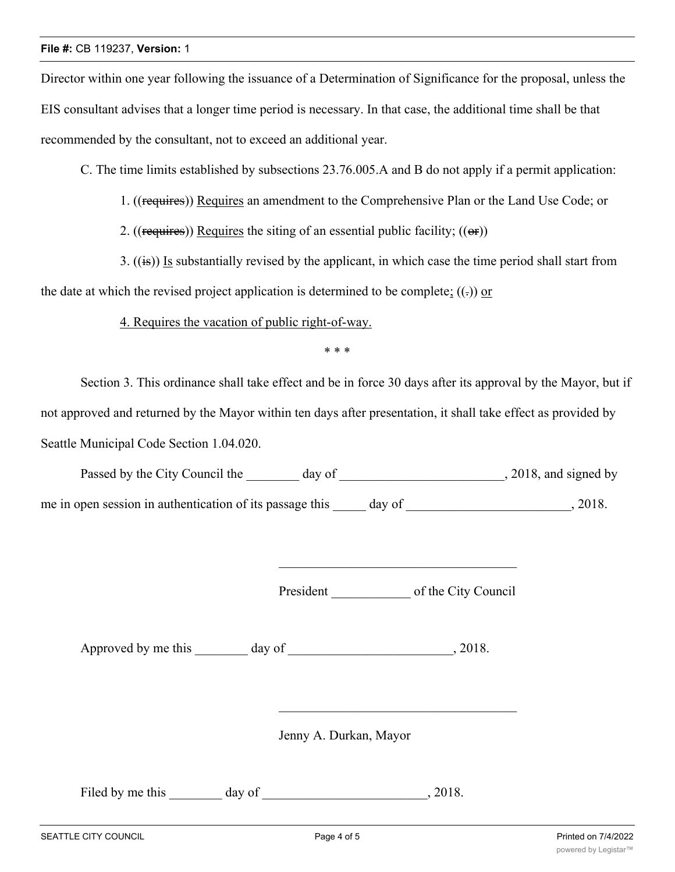#### **File #:** CB 119237, **Version:** 1

Director within one year following the issuance of a Determination of Significance for the proposal, unless the EIS consultant advises that a longer time period is necessary. In that case, the additional time shall be that recommended by the consultant, not to exceed an additional year.

C. The time limits established by subsections 23.76.005.A and B do not apply if a permit application:

1. ((requires)) Requires an amendment to the Comprehensive Plan or the Land Use Code; or

2. ((requires)) Requires the siting of an essential public facility;  $((\theta \cdot \mathbf{r}))$ 

3. ((is)) Is substantially revised by the applicant, in which case the time period shall start from

the date at which the revised project application is determined to be complete;  $((.)$  or

4. Requires the vacation of public right-of-way.

\* \* \*

Section 3. This ordinance shall take effect and be in force 30 days after its approval by the Mayor, but if not approved and returned by the Mayor within ten days after presentation, it shall take effect as provided by Seattle Municipal Code Section 1.04.020.

| Passed by the City Council the                           | day of |        | , 2018, and signed by |
|----------------------------------------------------------|--------|--------|-----------------------|
| me in open session in authentication of its passage this |        | day of | 2018.                 |

President of the City Council

Approved by me this \_\_\_\_\_\_\_\_ day of \_\_\_\_\_\_\_\_\_\_\_\_\_\_\_\_\_\_\_\_\_\_\_\_\_, 2018.

Jenny A. Durkan, Mayor

Filed by me this \_\_\_\_\_\_\_ day of \_\_\_\_\_\_\_\_\_\_\_\_\_\_\_\_\_\_\_\_\_\_\_\_\_, 2018.